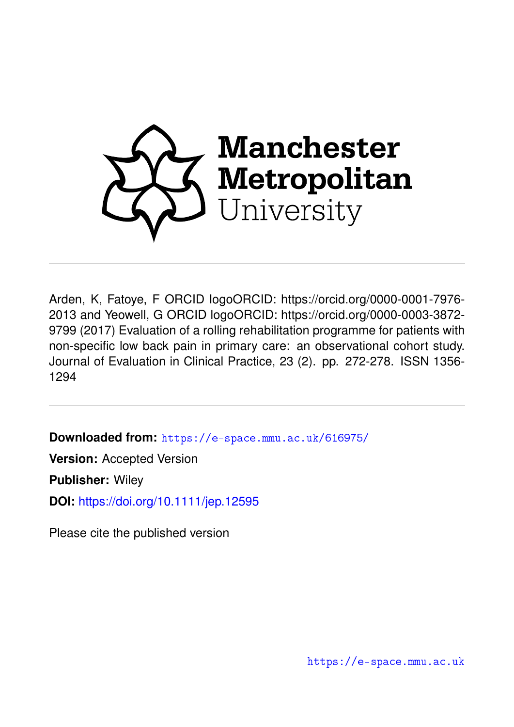

Arden, K, Fatoye, F ORCID logoORCID: https://orcid.org/0000-0001-7976- 2013 and Yeowell, G ORCID logoORCID: https://orcid.org/0000-0003-3872- 9799 (2017) Evaluation of a rolling rehabilitation programme for patients with non-specific low back pain in primary care: an observational cohort study. Journal of Evaluation in Clinical Practice, 23 (2). pp. 272-278. ISSN 1356- 1294

**Downloaded from:** <https://e-space.mmu.ac.uk/616975/>

**Version:** Accepted Version

**Publisher:** Wiley

**DOI:** <https://doi.org/10.1111/jep.12595>

Please cite the published version

<https://e-space.mmu.ac.uk>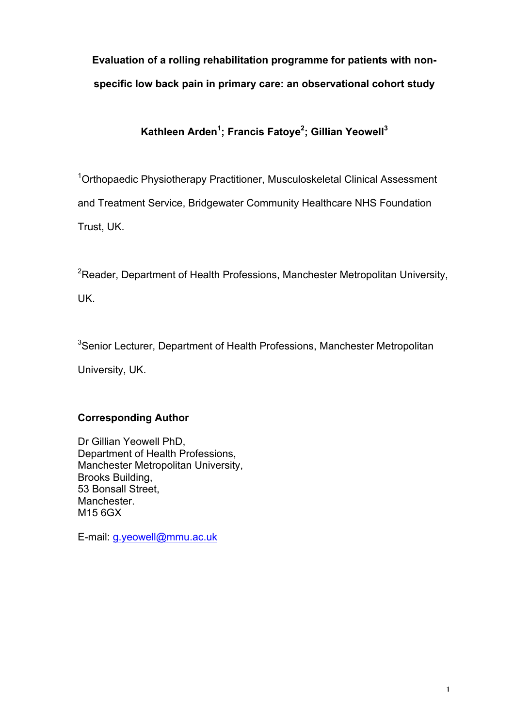# **Evaluation of a rolling rehabilitation programme for patients with nonspecific low back pain in primary care: an observational cohort study**

### **Kathleen Arden1 ; Francis Fatoye<sup>2</sup> ; Gillian Yeowell<sup>3</sup>**

<sup>1</sup>Orthopaedic Physiotherapy Practitioner, Musculoskeletal Clinical Assessment and Treatment Service, Bridgewater Community Healthcare NHS Foundation Trust, UK.

 ${}^{2}$ Reader, Department of Health Professions, Manchester Metropolitan University,

UK.

<sup>3</sup>Senior Lecturer, Department of Health Professions, Manchester Metropolitan

University, UK.

### **Corresponding Author**

Dr Gillian Yeowell PhD, Department of Health Professions, Manchester Metropolitan University, Brooks Building, 53 Bonsall Street, Manchester. M15 6GX

E-mail: g.yeowell@mmu.ac.uk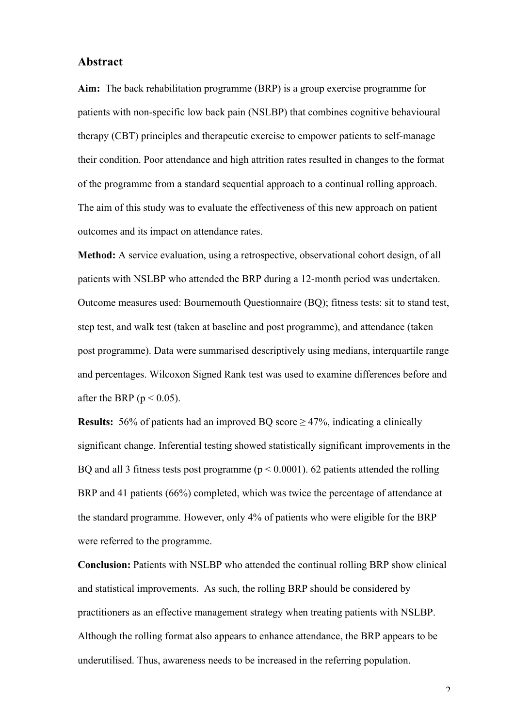#### **Abstract**

**Aim:** The back rehabilitation programme (BRP) is a group exercise programme for patients with non-specific low back pain (NSLBP) that combines cognitive behavioural therapy (CBT) principles and therapeutic exercise to empower patients to self-manage their condition. Poor attendance and high attrition rates resulted in changes to the format of the programme from a standard sequential approach to a continual rolling approach. The aim of this study was to evaluate the effectiveness of this new approach on patient outcomes and its impact on attendance rates.

**Method:** A service evaluation, using a retrospective, observational cohort design, of all patients with NSLBP who attended the BRP during a 12-month period was undertaken. Outcome measures used: Bournemouth Questionnaire (BQ); fitness tests: sit to stand test, step test, and walk test (taken at baseline and post programme), and attendance (taken post programme). Data were summarised descriptively using medians, interquartile range and percentages. Wilcoxon Signed Rank test was used to examine differences before and after the BRP ( $p < 0.05$ ).

**Results:** 56% of patients had an improved BO score > 47%, indicating a clinically significant change. Inferential testing showed statistically significant improvements in the BQ and all 3 fitness tests post programme ( $p < 0.0001$ ). 62 patients attended the rolling BRP and 41 patients (66%) completed, which was twice the percentage of attendance at the standard programme. However, only 4% of patients who were eligible for the BRP were referred to the programme.

**Conclusion:** Patients with NSLBP who attended the continual rolling BRP show clinical and statistical improvements. As such, the rolling BRP should be considered by practitioners as an effective management strategy when treating patients with NSLBP. Although the rolling format also appears to enhance attendance, the BRP appears to be underutilised. Thus, awareness needs to be increased in the referring population.

 $\overline{2}$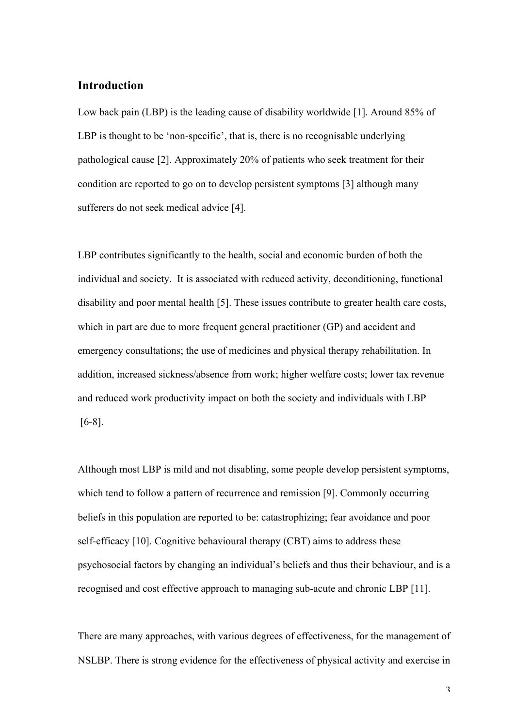#### **Introduction**

Low back pain (LBP) is the leading cause of disability worldwide [1]. Around 85% of LBP is thought to be 'non-specific', that is, there is no recognisable underlying pathological cause [2]. Approximately 20% of patients who seek treatment for their condition are reported to go on to develop persistent symptoms [3] although many sufferers do not seek medical advice [4].

LBP contributes significantly to the health, social and economic burden of both the individual and society. It is associated with reduced activity, deconditioning, functional disability and poor mental health [5]. These issues contribute to greater health care costs, which in part are due to more frequent general practitioner (GP) and accident and emergency consultations; the use of medicines and physical therapy rehabilitation. In addition, increased sickness/absence from work; higher welfare costs; lower tax revenue and reduced work productivity impact on both the society and individuals with LBP [6-8].

Although most LBP is mild and not disabling, some people develop persistent symptoms, which tend to follow a pattern of recurrence and remission [9]. Commonly occurring beliefs in this population are reported to be: catastrophizing; fear avoidance and poor self-efficacy [10]. Cognitive behavioural therapy (CBT) aims to address these psychosocial factors by changing an individual's beliefs and thus their behaviour, and is a recognised and cost effective approach to managing sub-acute and chronic LBP [11].

There are many approaches, with various degrees of effectiveness, for the management of NSLBP. There is strong evidence for the effectiveness of physical activity and exercise in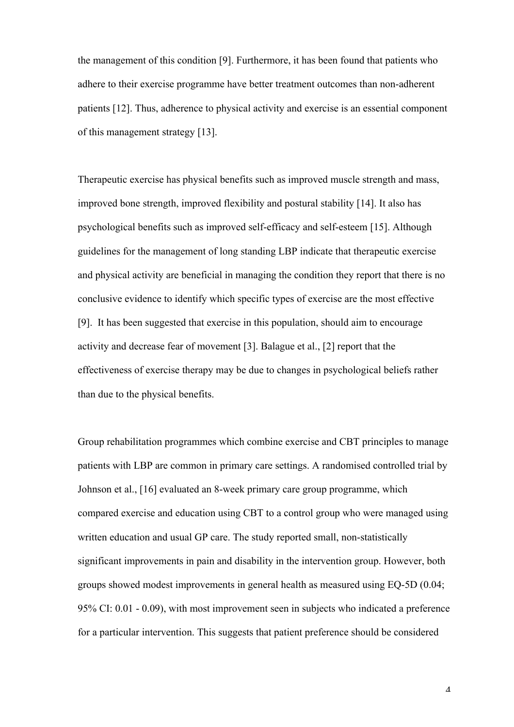the management of this condition [9]. Furthermore, it has been found that patients who adhere to their exercise programme have better treatment outcomes than non-adherent patients [12]. Thus, adherence to physical activity and exercise is an essential component of this management strategy [13].

Therapeutic exercise has physical benefits such as improved muscle strength and mass, improved bone strength, improved flexibility and postural stability [14]. It also has psychological benefits such as improved self-efficacy and self-esteem [15]. Although guidelines for the management of long standing LBP indicate that therapeutic exercise and physical activity are beneficial in managing the condition they report that there is no conclusive evidence to identify which specific types of exercise are the most effective [9]. It has been suggested that exercise in this population, should aim to encourage activity and decrease fear of movement [3]. Balague et al., [2] report that the effectiveness of exercise therapy may be due to changes in psychological beliefs rather than due to the physical benefits.

Group rehabilitation programmes which combine exercise and CBT principles to manage patients with LBP are common in primary care settings. A randomised controlled trial by Johnson et al., [16] evaluated an 8-week primary care group programme, which compared exercise and education using CBT to a control group who were managed using written education and usual GP care. The study reported small, non-statistically significant improvements in pain and disability in the intervention group. However, both groups showed modest improvements in general health as measured using EQ-5D (0.04; 95% CI: 0.01 - 0.09), with most improvement seen in subjects who indicated a preference for a particular intervention. This suggests that patient preference should be considered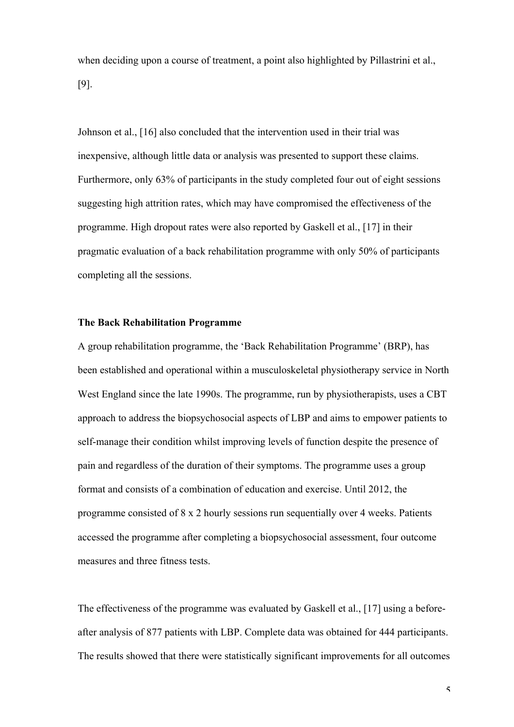when deciding upon a course of treatment, a point also highlighted by Pillastrini et al., [9].

Johnson et al., [16] also concluded that the intervention used in their trial was inexpensive, although little data or analysis was presented to support these claims. Furthermore, only 63% of participants in the study completed four out of eight sessions suggesting high attrition rates, which may have compromised the effectiveness of the programme. High dropout rates were also reported by Gaskell et al., [17] in their pragmatic evaluation of a back rehabilitation programme with only 50% of participants completing all the sessions.

#### **The Back Rehabilitation Programme**

A group rehabilitation programme, the 'Back Rehabilitation Programme' (BRP), has been established and operational within a musculoskeletal physiotherapy service in North West England since the late 1990s. The programme, run by physiotherapists, uses a CBT approach to address the biopsychosocial aspects of LBP and aims to empower patients to self-manage their condition whilst improving levels of function despite the presence of pain and regardless of the duration of their symptoms. The programme uses a group format and consists of a combination of education and exercise. Until 2012, the programme consisted of 8 x 2 hourly sessions run sequentially over 4 weeks. Patients accessed the programme after completing a biopsychosocial assessment, four outcome measures and three fitness tests.

The effectiveness of the programme was evaluated by Gaskell et al., [17] using a beforeafter analysis of 877 patients with LBP. Complete data was obtained for 444 participants. The results showed that there were statistically significant improvements for all outcomes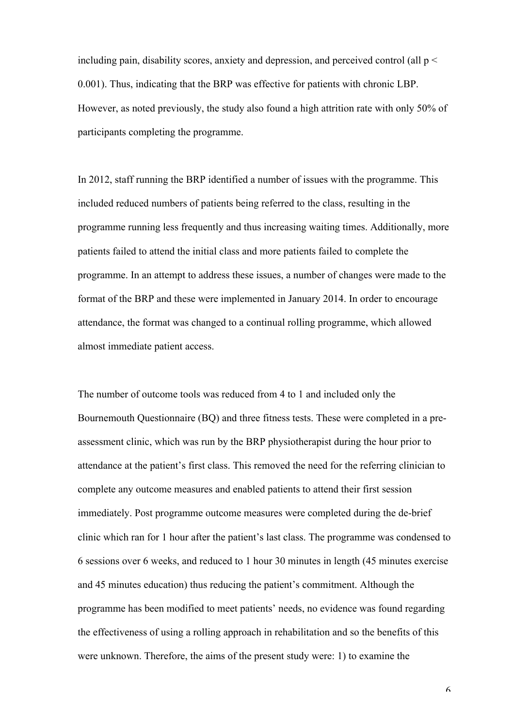including pain, disability scores, anxiety and depression, and perceived control (all  $p <$ 0.001). Thus, indicating that the BRP was effective for patients with chronic LBP. However, as noted previously, the study also found a high attrition rate with only 50% of participants completing the programme.

In 2012, staff running the BRP identified a number of issues with the programme. This included reduced numbers of patients being referred to the class, resulting in the programme running less frequently and thus increasing waiting times. Additionally, more patients failed to attend the initial class and more patients failed to complete the programme. In an attempt to address these issues, a number of changes were made to the format of the BRP and these were implemented in January 2014. In order to encourage attendance, the format was changed to a continual rolling programme, which allowed almost immediate patient access.

The number of outcome tools was reduced from 4 to 1 and included only the Bournemouth Questionnaire (BQ) and three fitness tests. These were completed in a preassessment clinic, which was run by the BRP physiotherapist during the hour prior to attendance at the patient's first class. This removed the need for the referring clinician to complete any outcome measures and enabled patients to attend their first session immediately. Post programme outcome measures were completed during the de-brief clinic which ran for 1 hour after the patient's last class. The programme was condensed to 6 sessions over 6 weeks, and reduced to 1 hour 30 minutes in length (45 minutes exercise and 45 minutes education) thus reducing the patient's commitment. Although the programme has been modified to meet patients' needs, no evidence was found regarding the effectiveness of using a rolling approach in rehabilitation and so the benefits of this were unknown. Therefore, the aims of the present study were: 1) to examine the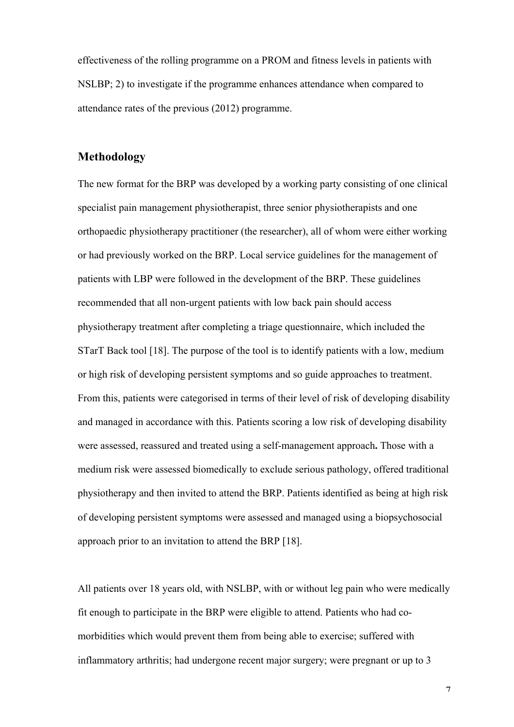effectiveness of the rolling programme on a PROM and fitness levels in patients with NSLBP; 2) to investigate if the programme enhances attendance when compared to attendance rates of the previous (2012) programme.

#### **Methodology**

The new format for the BRP was developed by a working party consisting of one clinical specialist pain management physiotherapist, three senior physiotherapists and one orthopaedic physiotherapy practitioner (the researcher), all of whom were either working or had previously worked on the BRP. Local service guidelines for the management of patients with LBP were followed in the development of the BRP. These guidelines recommended that all non-urgent patients with low back pain should access physiotherapy treatment after completing a triage questionnaire, which included the STarT Back tool [18]. The purpose of the tool is to identify patients with a low, medium or high risk of developing persistent symptoms and so guide approaches to treatment. From this, patients were categorised in terms of their level of risk of developing disability and managed in accordance with this. Patients scoring a low risk of developing disability were assessed, reassured and treated using a self-management approach**.** Those with a medium risk were assessed biomedically to exclude serious pathology, offered traditional physiotherapy and then invited to attend the BRP. Patients identified as being at high risk of developing persistent symptoms were assessed and managed using a biopsychosocial approach prior to an invitation to attend the BRP [18].

All patients over 18 years old, with NSLBP, with or without leg pain who were medically fit enough to participate in the BRP were eligible to attend. Patients who had comorbidities which would prevent them from being able to exercise; suffered with inflammatory arthritis; had undergone recent major surgery; were pregnant or up to 3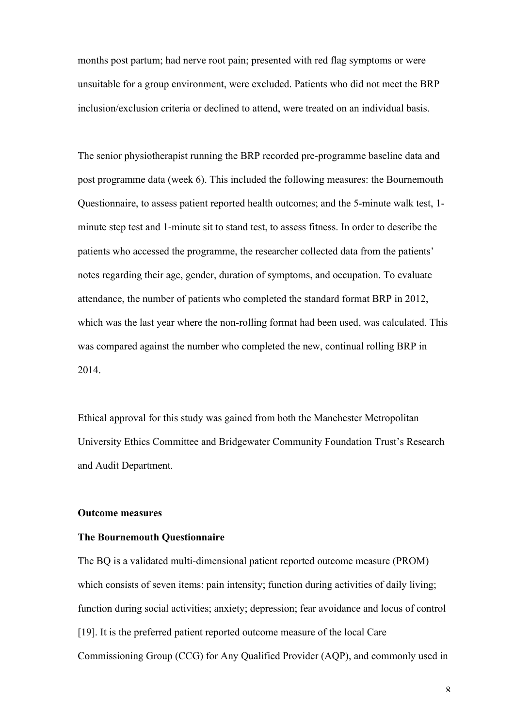months post partum; had nerve root pain; presented with red flag symptoms or were unsuitable for a group environment, were excluded. Patients who did not meet the BRP inclusion/exclusion criteria or declined to attend, were treated on an individual basis.

The senior physiotherapist running the BRP recorded pre-programme baseline data and post programme data (week 6). This included the following measures: the Bournemouth Questionnaire, to assess patient reported health outcomes; and the 5-minute walk test, 1 minute step test and 1-minute sit to stand test, to assess fitness. In order to describe the patients who accessed the programme, the researcher collected data from the patients' notes regarding their age, gender, duration of symptoms, and occupation. To evaluate attendance, the number of patients who completed the standard format BRP in 2012, which was the last year where the non-rolling format had been used, was calculated. This was compared against the number who completed the new, continual rolling BRP in 2014.

Ethical approval for this study was gained from both the Manchester Metropolitan University Ethics Committee and Bridgewater Community Foundation Trust's Research and Audit Department.

#### **Outcome measures**

#### **The Bournemouth Questionnaire**

The BQ is a validated multi-dimensional patient reported outcome measure (PROM) which consists of seven items: pain intensity; function during activities of daily living; function during social activities; anxiety; depression; fear avoidance and locus of control [19]. It is the preferred patient reported outcome measure of the local Care Commissioning Group (CCG) for Any Qualified Provider (AQP), and commonly used in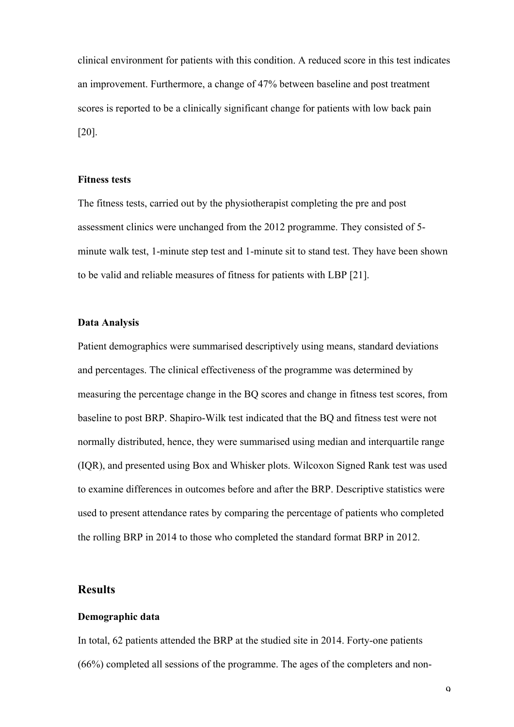clinical environment for patients with this condition. A reduced score in this test indicates an improvement. Furthermore, a change of 47% between baseline and post treatment scores is reported to be a clinically significant change for patients with low back pain [20].

#### **Fitness tests**

The fitness tests, carried out by the physiotherapist completing the pre and post assessment clinics were unchanged from the 2012 programme. They consisted of 5 minute walk test, 1-minute step test and 1-minute sit to stand test. They have been shown to be valid and reliable measures of fitness for patients with LBP [21].

#### **Data Analysis**

Patient demographics were summarised descriptively using means, standard deviations and percentages. The clinical effectiveness of the programme was determined by measuring the percentage change in the BQ scores and change in fitness test scores, from baseline to post BRP. Shapiro-Wilk test indicated that the BQ and fitness test were not normally distributed, hence, they were summarised using median and interquartile range (IQR), and presented using Box and Whisker plots. Wilcoxon Signed Rank test was used to examine differences in outcomes before and after the BRP. Descriptive statistics were used to present attendance rates by comparing the percentage of patients who completed the rolling BRP in 2014 to those who completed the standard format BRP in 2012.

#### **Results**

#### **Demographic data**

In total, 62 patients attended the BRP at the studied site in 2014. Forty-one patients (66%) completed all sessions of the programme. The ages of the completers and non-

 $\mathbf Q$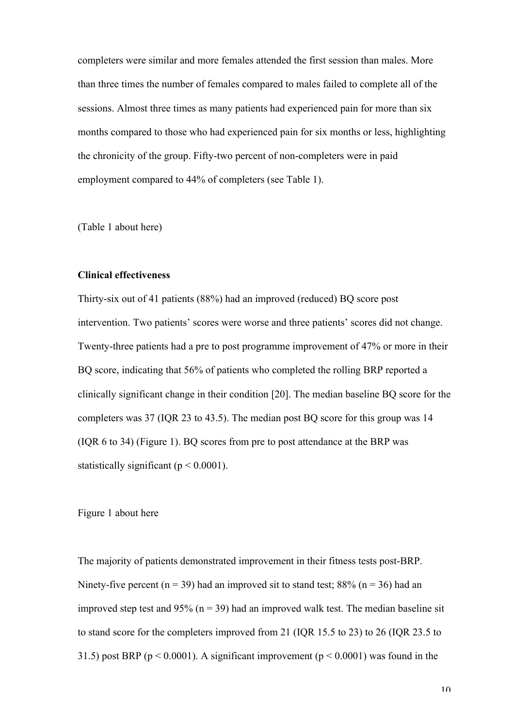completers were similar and more females attended the first session than males. More than three times the number of females compared to males failed to complete all of the sessions. Almost three times as many patients had experienced pain for more than six months compared to those who had experienced pain for six months or less, highlighting the chronicity of the group. Fifty-two percent of non-completers were in paid employment compared to 44% of completers (see Table 1).

(Table 1 about here)

#### **Clinical effectiveness**

Thirty-six out of 41 patients (88%) had an improved (reduced) BQ score post intervention. Two patients' scores were worse and three patients' scores did not change. Twenty-three patients had a pre to post programme improvement of 47% or more in their BQ score, indicating that 56% of patients who completed the rolling BRP reported a clinically significant change in their condition [20]. The median baseline BQ score for the completers was 37 (IQR 23 to 43.5). The median post BQ score for this group was 14 (IQR 6 to 34) (Figure 1). BQ scores from pre to post attendance at the BRP was statistically significant ( $p < 0.0001$ ).

#### Figure 1 about here

The majority of patients demonstrated improvement in their fitness tests post-BRP. Ninety-five percent ( $n = 39$ ) had an improved sit to stand test; 88% ( $n = 36$ ) had an improved step test and 95% ( $n = 39$ ) had an improved walk test. The median baseline sit to stand score for the completers improved from 21 (IQR 15.5 to 23) to 26 (IQR 23.5 to 31.5) post BRP ( $p < 0.0001$ ). A significant improvement ( $p < 0.0001$ ) was found in the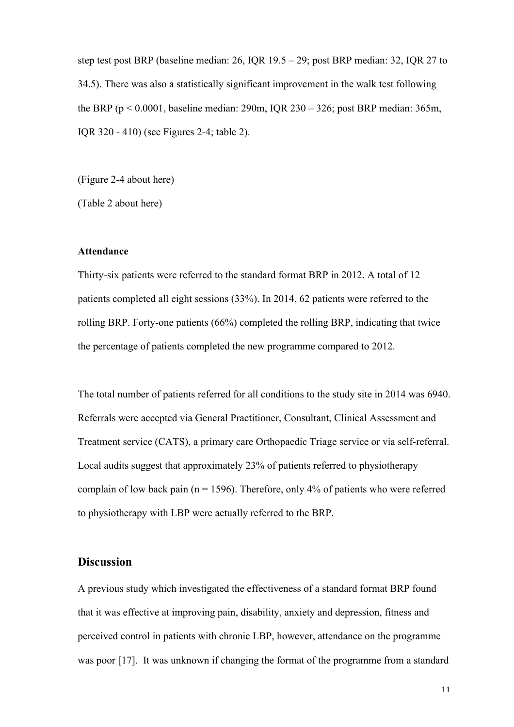step test post BRP (baseline median: 26, IQR 19.5 – 29; post BRP median: 32, IQR 27 to 34.5). There was also a statistically significant improvement in the walk test following the BRP (p < 0.0001, baseline median: 290m, IQR 230 – 326; post BRP median: 365m, IQR 320 - 410) (see Figures 2-4; table 2).

(Figure 2-4 about here)

(Table 2 about here)

#### **Attendance**

Thirty-six patients were referred to the standard format BRP in 2012. A total of 12 patients completed all eight sessions (33%). In 2014, 62 patients were referred to the rolling BRP. Forty-one patients (66%) completed the rolling BRP, indicating that twice the percentage of patients completed the new programme compared to 2012.

The total number of patients referred for all conditions to the study site in 2014 was 6940. Referrals were accepted via General Practitioner, Consultant, Clinical Assessment and Treatment service (CATS), a primary care Orthopaedic Triage service or via self-referral. Local audits suggest that approximately 23% of patients referred to physiotherapy complain of low back pain ( $n = 1596$ ). Therefore, only 4% of patients who were referred to physiotherapy with LBP were actually referred to the BRP.

#### **Discussion**

A previous study which investigated the effectiveness of a standard format BRP found that it was effective at improving pain, disability, anxiety and depression, fitness and perceived control in patients with chronic LBP, however, attendance on the programme was poor [17]. It was unknown if changing the format of the programme from a standard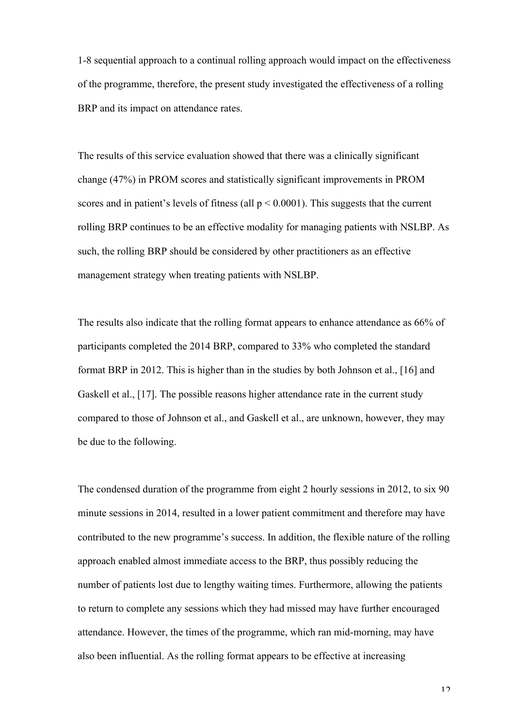1-8 sequential approach to a continual rolling approach would impact on the effectiveness of the programme, therefore, the present study investigated the effectiveness of a rolling BRP and its impact on attendance rates.

The results of this service evaluation showed that there was a clinically significant change (47%) in PROM scores and statistically significant improvements in PROM scores and in patient's levels of fitness (all  $p \le 0.0001$ ). This suggests that the current rolling BRP continues to be an effective modality for managing patients with NSLBP. As such, the rolling BRP should be considered by other practitioners as an effective management strategy when treating patients with NSLBP.

The results also indicate that the rolling format appears to enhance attendance as 66% of participants completed the 2014 BRP, compared to 33% who completed the standard format BRP in 2012. This is higher than in the studies by both Johnson et al., [16] and Gaskell et al., [17]. The possible reasons higher attendance rate in the current study compared to those of Johnson et al., and Gaskell et al., are unknown, however, they may be due to the following.

The condensed duration of the programme from eight 2 hourly sessions in 2012, to six 90 minute sessions in 2014, resulted in a lower patient commitment and therefore may have contributed to the new programme's success. In addition, the flexible nature of the rolling approach enabled almost immediate access to the BRP, thus possibly reducing the number of patients lost due to lengthy waiting times. Furthermore, allowing the patients to return to complete any sessions which they had missed may have further encouraged attendance. However, the times of the programme, which ran mid-morning, may have also been influential. As the rolling format appears to be effective at increasing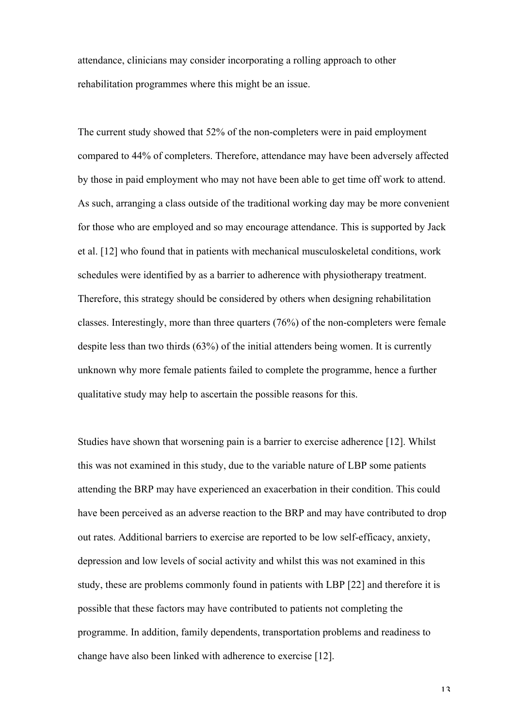attendance, clinicians may consider incorporating a rolling approach to other rehabilitation programmes where this might be an issue.

The current study showed that 52% of the non-completers were in paid employment compared to 44% of completers. Therefore, attendance may have been adversely affected by those in paid employment who may not have been able to get time off work to attend. As such, arranging a class outside of the traditional working day may be more convenient for those who are employed and so may encourage attendance. This is supported by Jack et al. [12] who found that in patients with mechanical musculoskeletal conditions, work schedules were identified by as a barrier to adherence with physiotherapy treatment. Therefore, this strategy should be considered by others when designing rehabilitation classes. Interestingly, more than three quarters (76%) of the non-completers were female despite less than two thirds (63%) of the initial attenders being women. It is currently unknown why more female patients failed to complete the programme, hence a further qualitative study may help to ascertain the possible reasons for this.

Studies have shown that worsening pain is a barrier to exercise adherence [12]. Whilst this was not examined in this study, due to the variable nature of LBP some patients attending the BRP may have experienced an exacerbation in their condition. This could have been perceived as an adverse reaction to the BRP and may have contributed to drop out rates. Additional barriers to exercise are reported to be low self-efficacy, anxiety, depression and low levels of social activity and whilst this was not examined in this study, these are problems commonly found in patients with LBP [22] and therefore it is possible that these factors may have contributed to patients not completing the programme. In addition, family dependents, transportation problems and readiness to change have also been linked with adherence to exercise [12].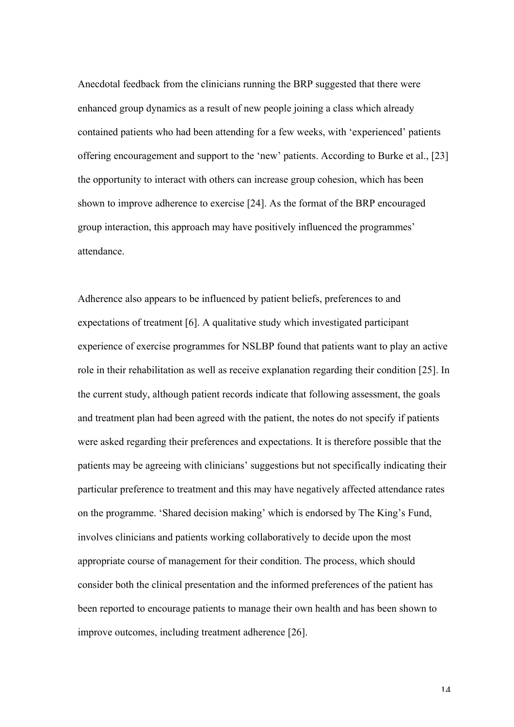Anecdotal feedback from the clinicians running the BRP suggested that there were enhanced group dynamics as a result of new people joining a class which already contained patients who had been attending for a few weeks, with 'experienced' patients offering encouragement and support to the 'new' patients. According to Burke et al., [23] the opportunity to interact with others can increase group cohesion, which has been shown to improve adherence to exercise [24]. As the format of the BRP encouraged group interaction, this approach may have positively influenced the programmes' attendance.

Adherence also appears to be influenced by patient beliefs, preferences to and expectations of treatment [6]. A qualitative study which investigated participant experience of exercise programmes for NSLBP found that patients want to play an active role in their rehabilitation as well as receive explanation regarding their condition [25]. In the current study, although patient records indicate that following assessment, the goals and treatment plan had been agreed with the patient, the notes do not specify if patients were asked regarding their preferences and expectations. It is therefore possible that the patients may be agreeing with clinicians' suggestions but not specifically indicating their particular preference to treatment and this may have negatively affected attendance rates on the programme. 'Shared decision making' which is endorsed by The King's Fund, involves clinicians and patients working collaboratively to decide upon the most appropriate course of management for their condition. The process, which should consider both the clinical presentation and the informed preferences of the patient has been reported to encourage patients to manage their own health and has been shown to improve outcomes, including treatment adherence [26].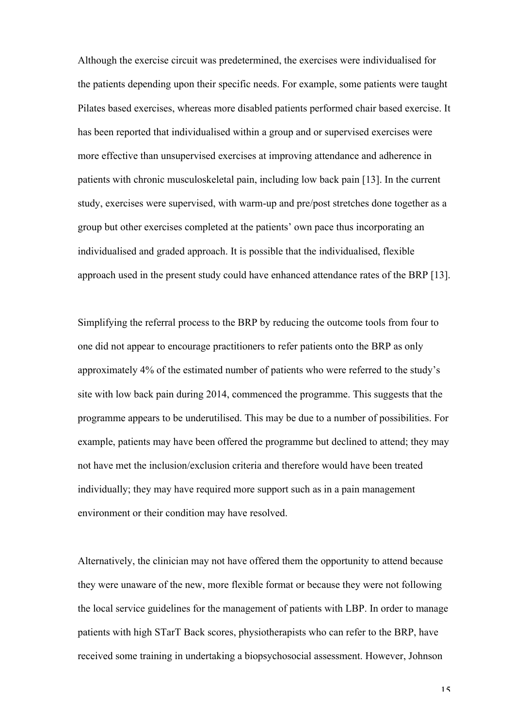Although the exercise circuit was predetermined, the exercises were individualised for the patients depending upon their specific needs. For example, some patients were taught Pilates based exercises, whereas more disabled patients performed chair based exercise. It has been reported that individualised within a group and or supervised exercises were more effective than unsupervised exercises at improving attendance and adherence in patients with chronic musculoskeletal pain, including low back pain [13]. In the current study, exercises were supervised, with warm-up and pre/post stretches done together as a group but other exercises completed at the patients' own pace thus incorporating an individualised and graded approach. It is possible that the individualised, flexible approach used in the present study could have enhanced attendance rates of the BRP [13].

Simplifying the referral process to the BRP by reducing the outcome tools from four to one did not appear to encourage practitioners to refer patients onto the BRP as only approximately 4% of the estimated number of patients who were referred to the study's site with low back pain during 2014, commenced the programme. This suggests that the programme appears to be underutilised. This may be due to a number of possibilities. For example, patients may have been offered the programme but declined to attend; they may not have met the inclusion/exclusion criteria and therefore would have been treated individually; they may have required more support such as in a pain management environment or their condition may have resolved.

Alternatively, the clinician may not have offered them the opportunity to attend because they were unaware of the new, more flexible format or because they were not following the local service guidelines for the management of patients with LBP. In order to manage patients with high STarT Back scores, physiotherapists who can refer to the BRP, have received some training in undertaking a biopsychosocial assessment. However, Johnson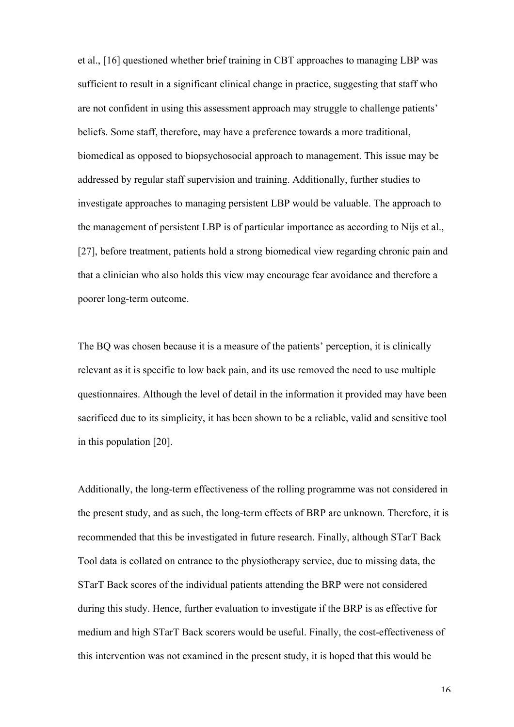et al., [16] questioned whether brief training in CBT approaches to managing LBP was sufficient to result in a significant clinical change in practice, suggesting that staff who are not confident in using this assessment approach may struggle to challenge patients' beliefs. Some staff, therefore, may have a preference towards a more traditional, biomedical as opposed to biopsychosocial approach to management. This issue may be addressed by regular staff supervision and training. Additionally, further studies to investigate approaches to managing persistent LBP would be valuable. The approach to the management of persistent LBP is of particular importance as according to Nijs et al., [27], before treatment, patients hold a strong biomedical view regarding chronic pain and that a clinician who also holds this view may encourage fear avoidance and therefore a poorer long-term outcome.

The BQ was chosen because it is a measure of the patients' perception, it is clinically relevant as it is specific to low back pain, and its use removed the need to use multiple questionnaires. Although the level of detail in the information it provided may have been sacrificed due to its simplicity, it has been shown to be a reliable, valid and sensitive tool in this population [20].

Additionally, the long-term effectiveness of the rolling programme was not considered in the present study, and as such, the long-term effects of BRP are unknown. Therefore, it is recommended that this be investigated in future research. Finally, although STarT Back Tool data is collated on entrance to the physiotherapy service, due to missing data, the STarT Back scores of the individual patients attending the BRP were not considered during this study. Hence, further evaluation to investigate if the BRP is as effective for medium and high STarT Back scorers would be useful. Finally, the cost-effectiveness of this intervention was not examined in the present study, it is hoped that this would be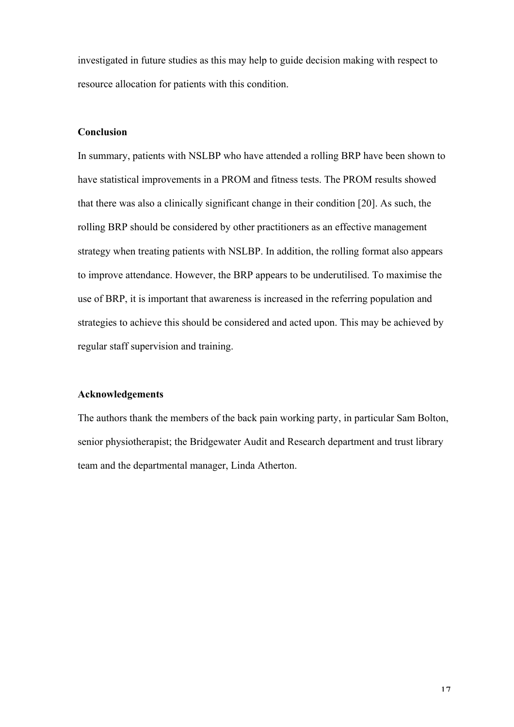investigated in future studies as this may help to guide decision making with respect to resource allocation for patients with this condition.

#### **Conclusion**

In summary, patients with NSLBP who have attended a rolling BRP have been shown to have statistical improvements in a PROM and fitness tests. The PROM results showed that there was also a clinically significant change in their condition [20]. As such, the rolling BRP should be considered by other practitioners as an effective management strategy when treating patients with NSLBP. In addition, the rolling format also appears to improve attendance. However, the BRP appears to be underutilised. To maximise the use of BRP, it is important that awareness is increased in the referring population and strategies to achieve this should be considered and acted upon. This may be achieved by regular staff supervision and training.

#### **Acknowledgements**

The authors thank the members of the back pain working party, in particular Sam Bolton, senior physiotherapist; the Bridgewater Audit and Research department and trust library team and the departmental manager, Linda Atherton.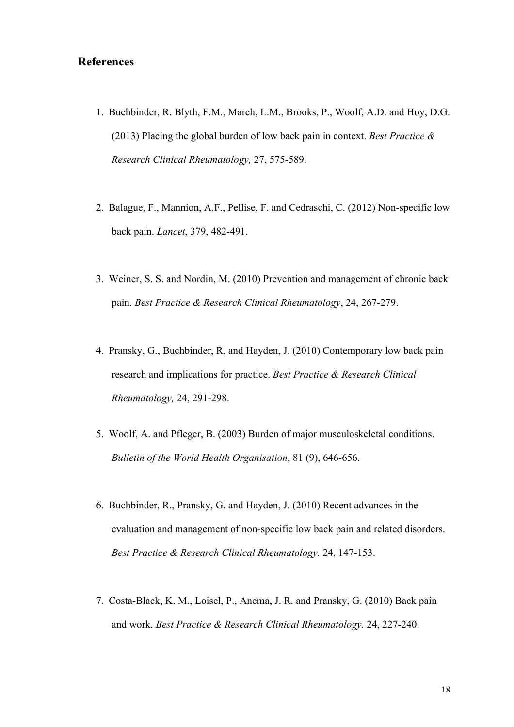### **References**

- 1. Buchbinder, R. Blyth, F.M., March, L.M., Brooks, P., Woolf, A.D. and Hoy, D.G. (2013) Placing the global burden of low back pain in context. *Best Practice & Research Clinical Rheumatology,* 27, 575-589.
- 2. Balague, F., Mannion, A.F., Pellise, F. and Cedraschi, C. (2012) Non-specific low back pain. *Lancet*, 379, 482-491.
- 3. Weiner, S. S. and Nordin, M. (2010) Prevention and management of chronic back pain. *Best Practice & Research Clinical Rheumatology*, 24, 267-279.
- 4. Pransky, G., Buchbinder, R. and Hayden, J. (2010) Contemporary low back pain research and implications for practice. *Best Practice & Research Clinical Rheumatology,* 24, 291-298.
- 5. Woolf, A. and Pfleger, B. (2003) Burden of major musculoskeletal conditions. *Bulletin of the World Health Organisation*, 81 (9), 646-656.
- 6. Buchbinder, R., Pransky, G. and Hayden, J. (2010) Recent advances in the evaluation and management of non-specific low back pain and related disorders. *Best Practice & Research Clinical Rheumatology.* 24, 147-153.
- 7. Costa-Black, K. M., Loisel, P., Anema, J. R. and Pransky, G. (2010) Back pain and work. *Best Practice & Research Clinical Rheumatology.* 24, 227-240.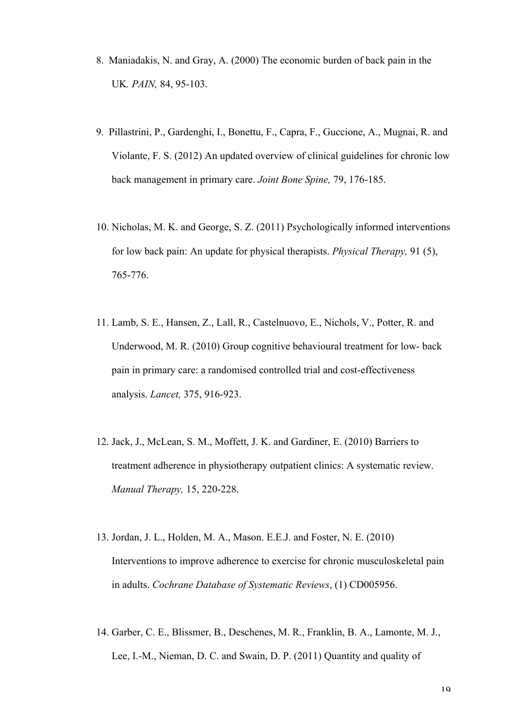- 8. Maniadakis, N. and Gray, A. (2000) The economic burden of back pain in the UK*. PAIN,* 84, 95-103.
- 9. Pillastrini, P., Gardenghi, I., Bonettu, F., Capra, F., Guccione, A., Mugnai, R. and Violante, F. S. (2012) An updated overview of clinical guidelines for chronic low back management in primary care. *Joint Bone Spine,* 79, 176-185.
- 10. Nicholas, M. K. and George, S. Z. (2011) Psychologically informed interventions for low back pain: An update for physical therapists. *Physical Therapy,* 91 (5), 765-776.
- 11. Lamb, S. E., Hansen, Z., Lall, R., Castelnuovo, E., Nichols, V., Potter, R. and Underwood, M. R. (2010) Group cognitive behavioural treatment for low- back pain in primary care: a randomised controlled trial and cost-effectiveness analysis. *Lancet,* 375, 916-923.
- 12. Jack, J., McLean, S. M., Moffett, J. K. and Gardiner, E. (2010) Barriers to treatment adherence in physiotherapy outpatient clinics: A systematic review. *Manual Therapy,* 15, 220-228.
- 13. Jordan, J. L., Holden, M. A., Mason. E.E.J. and Foster, N. E. (2010) Interventions to improve adherence to exercise for chronic musculoskeletal pain in adults. *Cochrane Database of Systematic Reviews*, (1) CD005956.
- 14. Garber, C. E., Blissmer, B., Deschenes, M. R., Franklin, B. A., Lamonte, M. J., Lee, I.-M., Nieman, D. C. and Swain, D. P. (2011) Quantity and quality of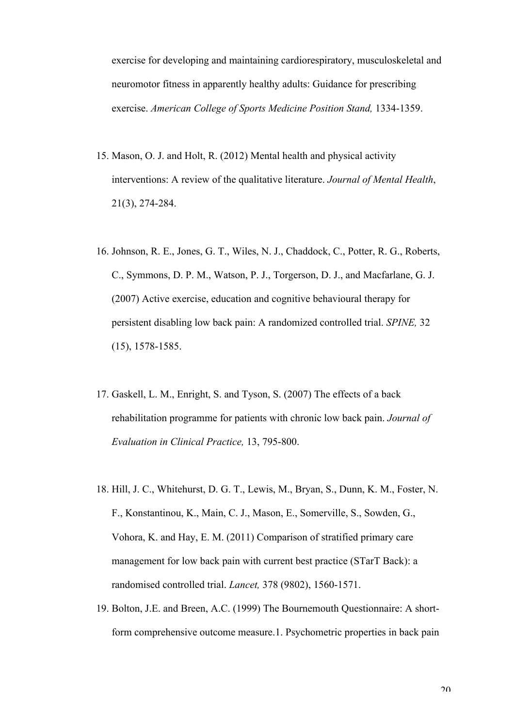exercise for developing and maintaining cardiorespiratory, musculoskeletal and neuromotor fitness in apparently healthy adults: Guidance for prescribing exercise. *American College of Sports Medicine Position Stand,* 1334-1359.

- 15. Mason, O. J. and Holt, R. (2012) Mental health and physical activity interventions: A review of the qualitative literature. *Journal of Mental Health*, 21(3), 274-284.
- 16. Johnson, R. E., Jones, G. T., Wiles, N. J., Chaddock, C., Potter, R. G., Roberts, C., Symmons, D. P. M., Watson, P. J., Torgerson, D. J., and Macfarlane, G. J. (2007) Active exercise, education and cognitive behavioural therapy for persistent disabling low back pain: A randomized controlled trial. *SPINE,* 32 (15), 1578-1585.
- 17. Gaskell, L. M., Enright, S. and Tyson, S. (2007) The effects of a back rehabilitation programme for patients with chronic low back pain. *Journal of Evaluation in Clinical Practice,* 13, 795-800.
- 18. Hill, J. C., Whitehurst, D. G. T., Lewis, M., Bryan, S., Dunn, K. M., Foster, N. F., Konstantinou, K., Main, C. J., Mason, E., Somerville, S., Sowden, G., Vohora, K. and Hay, E. M. (2011) Comparison of stratified primary care management for low back pain with current best practice (STarT Back): a randomised controlled trial. *Lancet,* 378 (9802), 1560-1571.
- 19. Bolton, J.E. and Breen, A.C. (1999) The Bournemouth Questionnaire: A shortform comprehensive outcome measure.1. Psychometric properties in back pain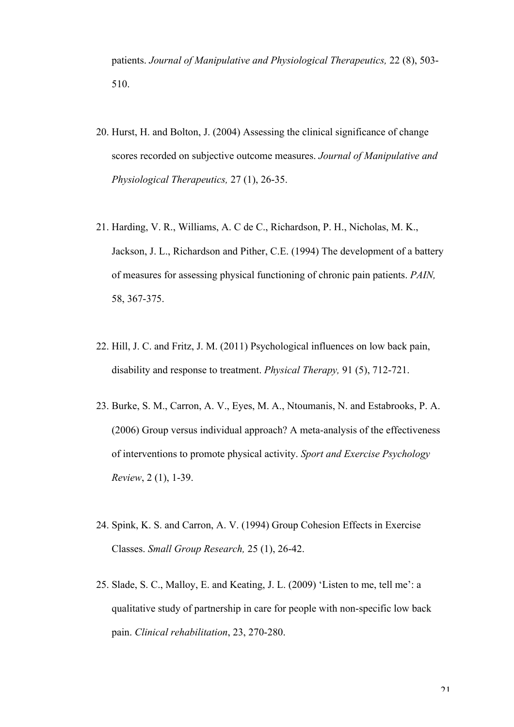patients. *Journal of Manipulative and Physiological Therapeutics,* 22 (8), 503- 510.

- 20. Hurst, H. and Bolton, J. (2004) Assessing the clinical significance of change scores recorded on subjective outcome measures. *Journal of Manipulative and Physiological Therapeutics,* 27 (1), 26-35.
- 21. Harding, V. R., Williams, A. C de C., Richardson, P. H., Nicholas, M. K., Jackson, J. L., Richardson and Pither, C.E. (1994) The development of a battery of measures for assessing physical functioning of chronic pain patients. *PAIN,* 58, 367-375.
- 22. Hill, J. C. and Fritz, J. M. (2011) Psychological influences on low back pain, disability and response to treatment. *Physical Therapy,* 91 (5), 712-721.
- 23. Burke, S. M., Carron, A. V., Eyes, M. A., Ntoumanis, N. and Estabrooks, P. A. (2006) Group versus individual approach? A meta-analysis of the effectiveness of interventions to promote physical activity. *Sport and Exercise Psychology Review*, 2 (1), 1-39.
- 24. Spink, K. S. and Carron, A. V. (1994) Group Cohesion Effects in Exercise Classes. *Small Group Research,* 25 (1), 26-42.
- 25. Slade, S. C., Malloy, E. and Keating, J. L. (2009) 'Listen to me, tell me': a qualitative study of partnership in care for people with non-specific low back pain. *Clinical rehabilitation*, 23, 270-280.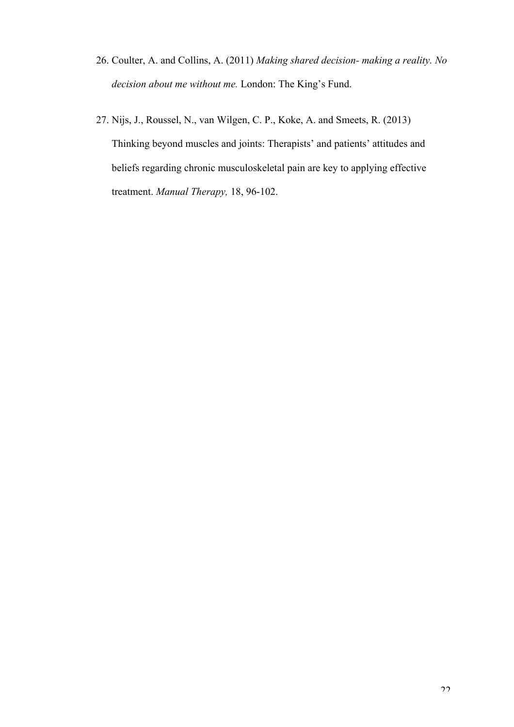- 26. Coulter, A. and Collins, A. (2011) *Making shared decision- making a reality. No decision about me without me.* London: The King's Fund.
- 27. Nijs, J., Roussel, N., van Wilgen, C. P., Koke, A. and Smeets, R. (2013) Thinking beyond muscles and joints: Therapists' and patients' attitudes and beliefs regarding chronic musculoskeletal pain are key to applying effective treatment. *Manual Therapy,* 18, 96-102.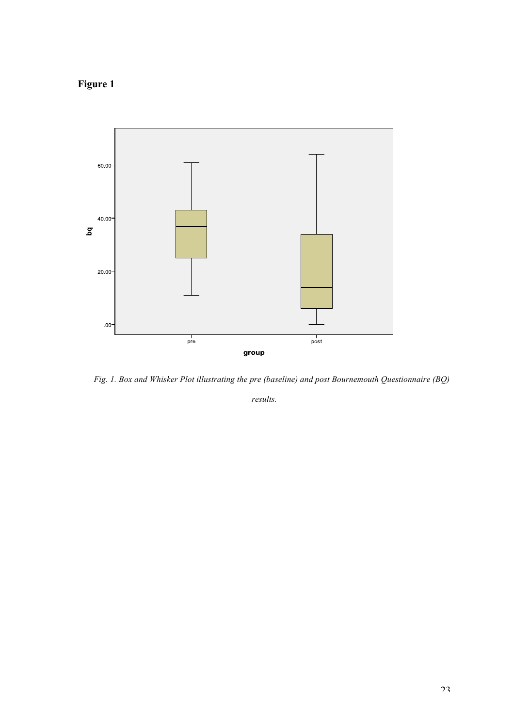**Figure 1**



 *Fig. 1. Box and Whisker Plot illustrating the pre (baseline) and post Bournemouth Questionnaire (BQ)* 

*results.*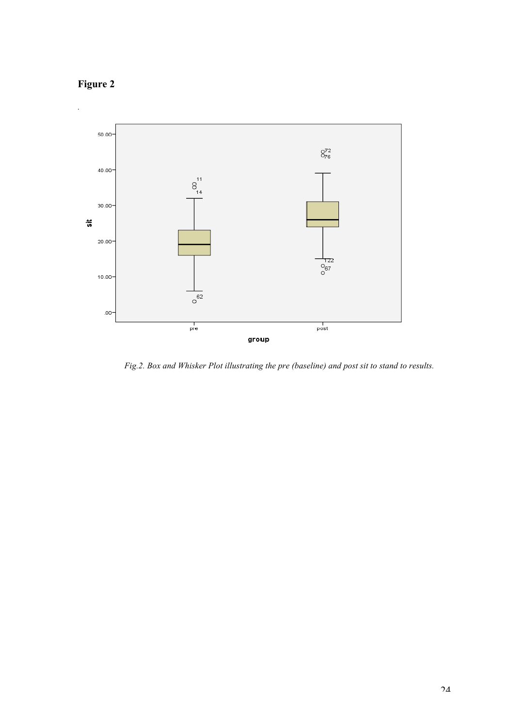



 *Fig.2. Box and Whisker Plot illustrating the pre (baseline) and post sit to stand to results.*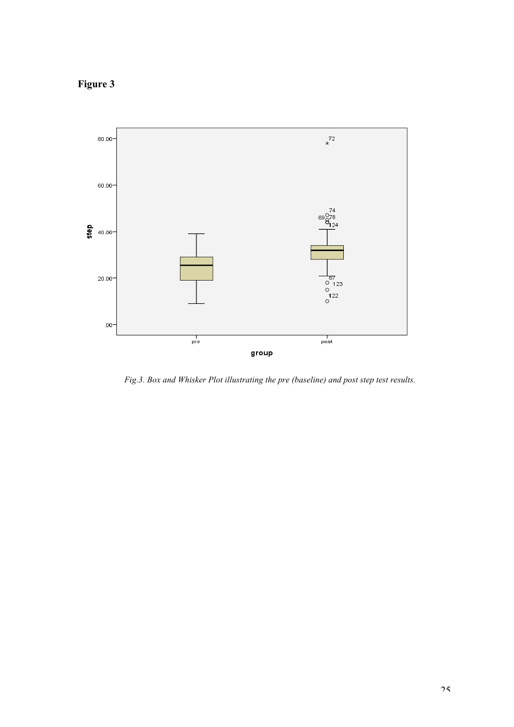**Figure 3**



 *Fig.3. Box and Whisker Plot illustrating the pre (baseline) and post step test results.*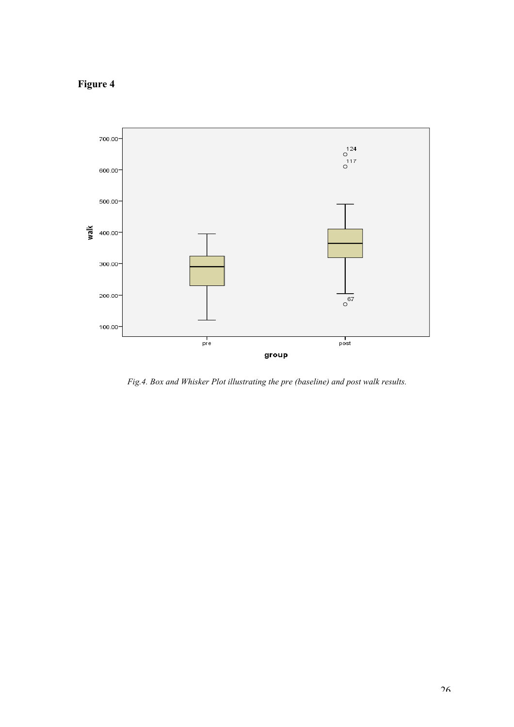## **Figure 4**



 *Fig.4. Box and Whisker Plot illustrating the pre (baseline) and post walk results.*